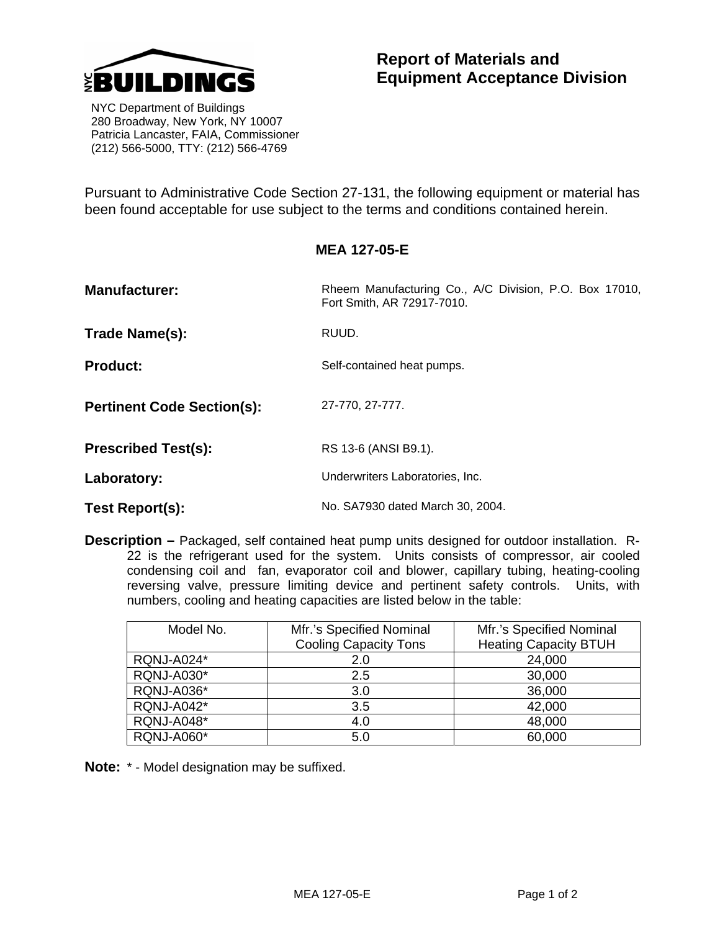

 NYC Department of Buildings 280 Broadway, New York, NY 10007 Patricia Lancaster, FAIA, Commissioner (212) 566-5000, TTY: (212) 566-4769

Pursuant to Administrative Code Section 27-131, the following equipment or material has been found acceptable for use subject to the terms and conditions contained herein.

| <b>Manufacturer:</b>              | Rheem Manufacturing Co., A/C Division, P.O. Box 17010,<br>Fort Smith, AR 72917-7010. |  |
|-----------------------------------|--------------------------------------------------------------------------------------|--|
| Trade Name(s):                    | RUUD.                                                                                |  |
| <b>Product:</b>                   | Self-contained heat pumps.                                                           |  |
| <b>Pertinent Code Section(s):</b> | 27-770, 27-777.                                                                      |  |
| <b>Prescribed Test(s):</b>        | RS 13-6 (ANSI B9.1).                                                                 |  |
| Laboratory:                       | Underwriters Laboratories, Inc.                                                      |  |
| Test Report(s):                   | No. SA7930 dated March 30, 2004.                                                     |  |

**Description –** Packaged, self contained heat pump units designed for outdoor installation. R-22 is the refrigerant used for the system. Units consists of compressor, air cooled condensing coil and fan, evaporator coil and blower, capillary tubing, heating-cooling reversing valve, pressure limiting device and pertinent safety controls. Units, with numbers, cooling and heating capacities are listed below in the table:

| Model No.         | Mfr.'s Specified Nominal     | Mfr.'s Specified Nominal     |
|-------------------|------------------------------|------------------------------|
|                   | <b>Cooling Capacity Tons</b> | <b>Heating Capacity BTUH</b> |
| <b>RQNJ-A024*</b> | 2.0                          | 24,000                       |
| <b>RQNJ-A030*</b> | 2.5                          | 30,000                       |
| <b>RQNJ-A036*</b> | 3.0                          | 36,000                       |
| <b>RQNJ-A042*</b> | 3.5                          | 42,000                       |
| <b>RQNJ-A048*</b> | 4.0                          | 48,000                       |
| <b>RQNJ-A060*</b> | 5.0                          | 60,000                       |

**Note:** \* - Model designation may be suffixed.